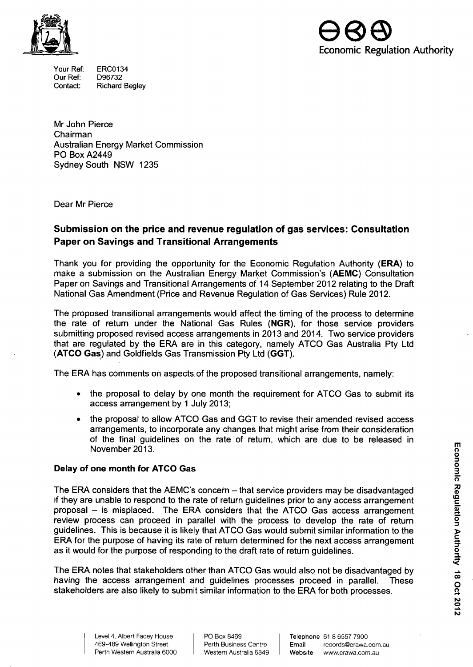

Your Ref: Our Ref: Contact: ERC0134 D96732 **Richard Begley** 



Mr John Pierce Chairman Australian Energy Market Commission PO Box A2449 Sydney South NSW 1235

Dear Mr Pierce

## **Submission on the price and revenue regulation of gas services: Consultation Paper on Savings and Transitional Arrangements**

Thank you for providing the opportunity for the Economic Regulation Authority (ERA) to make a submission on the Australian Energy Market Commission's (AEMC) Consultation Paper on Savings and Transitional Arrangements of 14 September 2012 relating to the Draft National Gas Amendment (Price and Revenue Regulation of Gas Services) Rule 2012.

**The proposed transitional arrangements would affect the timing of the process to determine the rate of retum under the National Gas Rules (NGR), for those service providers submitting proposed revised access arrangements in 2013 and 2014. Two service providers that are regulated by the ERA are in this category, namely ATCO Gas Australia Pty Ltd (ATCO Gas) and Goldfields Gas Transmission Pty Ltd (GGT).** 

The ERA has comments on aspects of the proposed transitional arrangements, namely:

- the proposal to delay by one month the requirement for ATCO Gas to submit its access arrangement by 1 July 2013;
- the proposal to allow ATCO Gas and GGT to revise their amended revised access arrangements, to incorporate any changes that might arise from their consideration of the final guidelines on the rate of retum, which are due to be released in November 2013.

## **Delay of one month for ATCO Gas**

The ERA considers that the AEMC's concern - that service providers may be disadvantaged if they are unable to respond to the rate of return guidelines prior to any access arrangement proposal - is misplaced. The ERA considers that the ATCO Gas access arrangement review process can proceed in parallel with the process to develop the rate of return guidelines. This is because it is likely that ATCO Gas would submit similar information to the ERA for the purpose of having its rate of return determined for the next access arrangement as it would for the purpose of responding to the draft rate of return guidelines.

The ERA notes that stakeholders other than ATCO Gas would also not be disadvantaged by having the access arrangement and guidelines processes proceed in parallel. These stakeholders are also likely to submit similar information to the ERA for both processes.

Level 4, Albert Facey House 469-489 Wellington Street Perth Western Australia 6000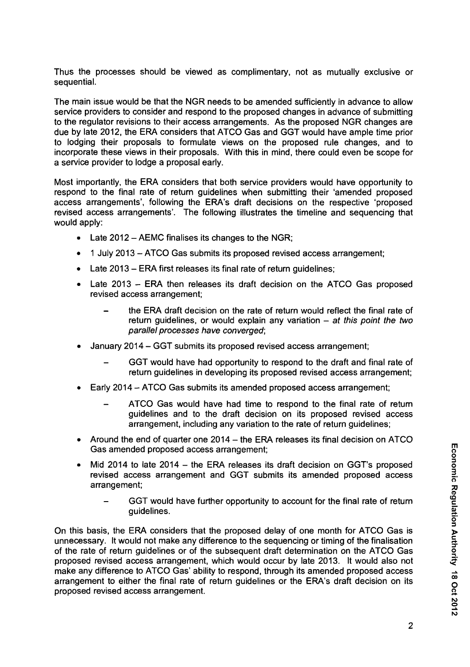Thus the processes should be viewed as complimentary, not as mutually exclusive or sequential.

The main issue would be that the NGR needs to be amended sufficiently in advance to allow service providers to consider and respond to the proposed changes in advance of submitting to the regulator revisions to their access arrangements. As the proposed NGR changes are due by late 2012, the ERA considers that ATCO Gas and GGT would have ample time prior to lodging their proposals to formulate views on the proposed rule changes, and to incorporate these views in their proposals. With this in mind, there could even be scope for a service provider to lodge a proposal early.

Most importantly, the ERA considers that both service providers would have opportunity to respond to the final rate of return guidelines when submitting their 'amended proposed access arrangements', following the ERA's draft decisions on the respective 'proposed revised access arrangements'. The following illustrates the timeline and sequencing that would apply:

- Late 2012 AEMC finalises its changes to the NGR;
- 1 July 2013 ATCO Gas submits its proposed revised access arrangement;
- Late 2013 ERA first releases its final rate of return guidelines;
- Late 2013 ERA then releases its draft decision on the ATCO Gas proposed revised access arrangement;
	- the ERA draft decision on the rate of return would reflect the final rate of return guidelines, or would explain any variation  $-$  at this point the two parallel processes have converged;
- January 2014 GGT submits its proposed revised access arrangement;
	- GGT would have had opportunity to respond to the draft and final rate of return guidelines in developing its proposed revised access arrangement;
- Early 2014 ATCO Gas submits its amended proposed access arrangement;
	- ATCO Gas would have had time to respond to the final rate of return guidelines and to the draft decision on its proposed revised access arrangement, including any variation to the rate of return guidelines;
- Around the end of quarter one 2014 the ERA releases its final decision on ATCO Gas amended proposed access arrangement;
- Mid 2014 to late 2014 the ERA releases its draft decision on GGT sproposed  $\frac{1}{10}$ revised access arrangement and GGT submits its amended proposed access i.e.  $\frac{1}{6}$ .  $\frac{1}{2}$ arrangement;  $\frac{1}{2}$ 
	- GGT would have further opportunity to account for the final rate of return quidelines. guidelines. We also a set of the set of the set of the set of the set of the set of the set of the set of the s

On this basis, the ERA considers that the proposed delay of one month for ATCO Gas is unnecessary. It would not make any difference to the sequencing or timing of the finalisation of the rate of return guidelines or of the subsequent draft determination on the ATCO Gas proposed revised access arrangement, which would occur by late 2013. It would also not make any difference to ATCO Gas' ability to respond, through its amended proposed access arrangement to either the final rate of return quidelines or the ERA's draft decision on its proposed revised access arrangement.